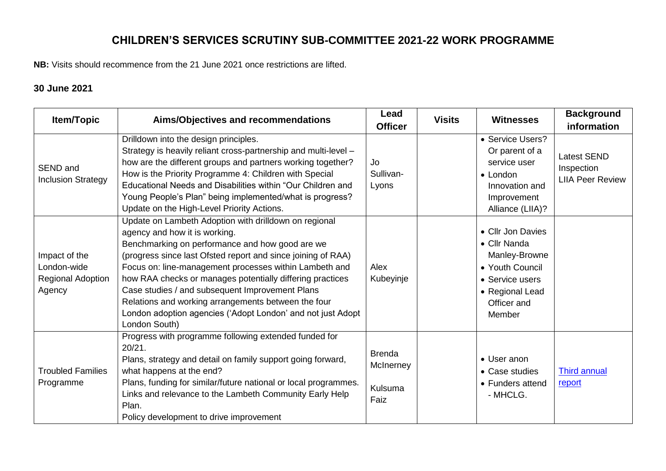## **CHILDREN'S SERVICES SCRUTINY SUB-COMMITTEE 2021-22 WORK PROGRAMME**

**NB:** Visits should recommence from the 21 June 2021 once restrictions are lifted.

### **30 June 2021**

| <b>Item/Topic</b>                                           | Aims/Objectives and recommendations                                                                                                                                                                                                                                                                                                                                                                                                                                                                                        | Lead<br><b>Officer</b>                        | <b>Visits</b> | <b>Witnesses</b>                                                                                                                     | <b>Background</b><br>information                            |
|-------------------------------------------------------------|----------------------------------------------------------------------------------------------------------------------------------------------------------------------------------------------------------------------------------------------------------------------------------------------------------------------------------------------------------------------------------------------------------------------------------------------------------------------------------------------------------------------------|-----------------------------------------------|---------------|--------------------------------------------------------------------------------------------------------------------------------------|-------------------------------------------------------------|
| SEND and<br><b>Inclusion Strategy</b>                       | Drilldown into the design principles.<br>Strategy is heavily reliant cross-partnership and multi-level -<br>how are the different groups and partners working together?<br>How is the Priority Programme 4: Children with Special<br>Educational Needs and Disabilities within "Our Children and<br>Young People's Plan" being implemented/what is progress?<br>Update on the High-Level Priority Actions.                                                                                                                 | Jo<br>Sullivan-<br>Lyons                      |               | • Service Users?<br>Or parent of a<br>service user<br>• London<br>Innovation and<br>Improvement<br>Alliance (LIIA)?                  | <b>Latest SEND</b><br>Inspection<br><b>LIIA Peer Review</b> |
| Impact of the<br>London-wide<br>Regional Adoption<br>Agency | Update on Lambeth Adoption with drilldown on regional<br>agency and how it is working.<br>Benchmarking on performance and how good are we<br>(progress since last Ofsted report and since joining of RAA)<br>Focus on: line-management processes within Lambeth and<br>how RAA checks or manages potentially differing practices<br>Case studies / and subsequent Improvement Plans<br>Relations and working arrangements between the four<br>London adoption agencies ('Adopt London' and not just Adopt<br>London South) | Alex<br>Kubeyinje                             |               | • Cllr Jon Davies<br>• Cllr Nanda<br>Manley-Browne<br>• Youth Council<br>• Service users<br>• Regional Lead<br>Officer and<br>Member |                                                             |
| <b>Troubled Families</b><br>Programme                       | Progress with programme following extended funded for<br>20/21.<br>Plans, strategy and detail on family support going forward,<br>what happens at the end?<br>Plans, funding for similar/future national or local programmes.<br>Links and relevance to the Lambeth Community Early Help<br>Plan.<br>Policy development to drive improvement                                                                                                                                                                               | <b>Brenda</b><br>McInerney<br>Kulsuma<br>Faiz |               | • User anon<br>• Case studies<br>• Funders attend<br>- MHCLG.                                                                        | <b>Third annual</b><br>report                               |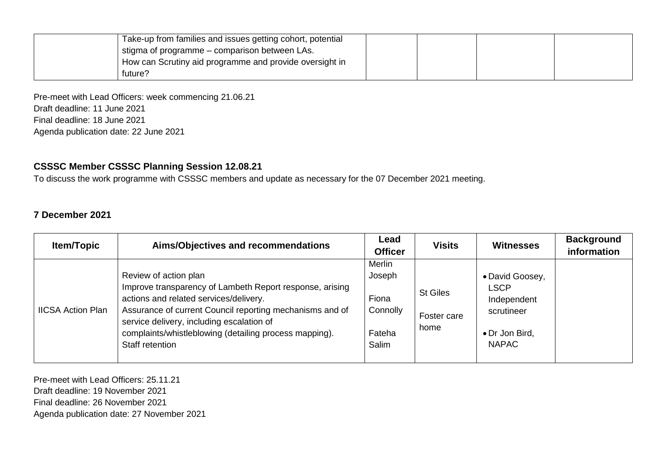| Take-up from families and issues getting cohort, potential |  |  |
|------------------------------------------------------------|--|--|
| I stigma of programme - comparison between LAs.            |  |  |
| How can Scrutiny aid programme and provide oversight in    |  |  |
| future?                                                    |  |  |

Pre-meet with Lead Officers: week commencing 21.06.21 Draft deadline: 11 June 2021 Final deadline: 18 June 2021 Agenda publication date: 22 June 2021

#### **CSSSC Member CSSSC Planning Session 12.08.21**

To discuss the work programme with CSSSC members and update as necessary for the 07 December 2021 meeting.

### **7 December 2021**

| <b>Item/Topic</b>        | Aims/Objectives and recommendations                                                                                                                                                                                                                                                                               | Lead<br><b>Officer</b>                                   | <b>Visits</b>                          | Witnesses                                                                                     | <b>Background</b><br>information |
|--------------------------|-------------------------------------------------------------------------------------------------------------------------------------------------------------------------------------------------------------------------------------------------------------------------------------------------------------------|----------------------------------------------------------|----------------------------------------|-----------------------------------------------------------------------------------------------|----------------------------------|
| <b>IICSA Action Plan</b> | Review of action plan<br>Improve transparency of Lambeth Report response, arising<br>actions and related services/delivery.<br>Assurance of current Council reporting mechanisms and of<br>service delivery, including escalation of<br>complaints/whistleblowing (detailing process mapping).<br>Staff retention | Merlin<br>Joseph<br>Fiona<br>Connolly<br>Fateha<br>Salim | <b>St Giles</b><br>Foster care<br>home | • David Goosey,<br><b>LSCP</b><br>Independent<br>scrutineer<br>• Dr Jon Bird,<br><b>NAPAC</b> |                                  |

Pre-meet with Lead Officers: 25.11.21 Draft deadline: 19 November 2021 Final deadline: 26 November 2021 Agenda publication date: 27 November 2021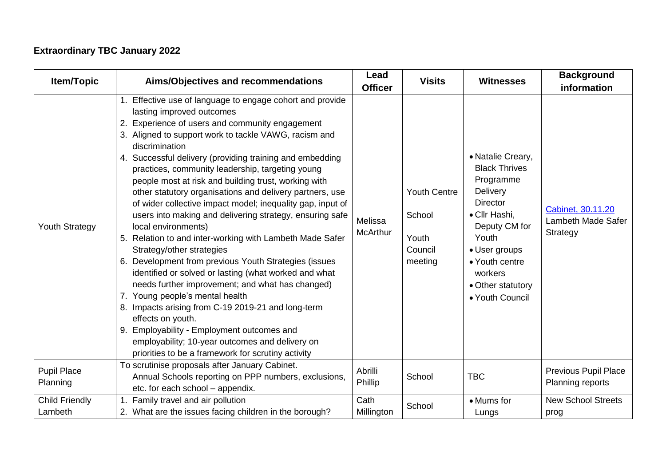# **Extraordinary TBC January 2022**

| <b>Item/Topic</b><br>Aims/Objectives and recommendations                                                                      |                                                                                                                                                                                                                                                                                                                                                                                                                                                                                                                                                                                                                                                                                                                                                                                                                                                                                                                                                                                                                                                                                                                                               | Lead<br><b>Officer</b>     | <b>Visits</b>                                                | <b>Witnesses</b>                                                                                                                                                                                                       | <b>Background</b><br>information                    |
|-------------------------------------------------------------------------------------------------------------------------------|-----------------------------------------------------------------------------------------------------------------------------------------------------------------------------------------------------------------------------------------------------------------------------------------------------------------------------------------------------------------------------------------------------------------------------------------------------------------------------------------------------------------------------------------------------------------------------------------------------------------------------------------------------------------------------------------------------------------------------------------------------------------------------------------------------------------------------------------------------------------------------------------------------------------------------------------------------------------------------------------------------------------------------------------------------------------------------------------------------------------------------------------------|----------------------------|--------------------------------------------------------------|------------------------------------------------------------------------------------------------------------------------------------------------------------------------------------------------------------------------|-----------------------------------------------------|
| <b>Youth Strategy</b>                                                                                                         | Effective use of language to engage cohort and provide<br>lasting improved outcomes<br>2. Experience of users and community engagement<br>3. Aligned to support work to tackle VAWG, racism and<br>discrimination<br>4. Successful delivery (providing training and embedding<br>practices, community leadership, targeting young<br>people most at risk and building trust, working with<br>other statutory organisations and delivery partners, use<br>of wider collective impact model; inequality gap, input of<br>users into making and delivering strategy, ensuring safe<br>local environments)<br>Relation to and inter-working with Lambeth Made Safer<br>5.<br>Strategy/other strategies<br>6. Development from previous Youth Strategies (issues<br>identified or solved or lasting (what worked and what<br>needs further improvement; and what has changed)<br>7. Young people's mental health<br>8. Impacts arising from C-19 2019-21 and long-term<br>effects on youth.<br>9. Employability - Employment outcomes and<br>employability; 10-year outcomes and delivery on<br>priorities to be a framework for scrutiny activity | Melissa<br><b>McArthur</b> | <b>Youth Centre</b><br>School<br>Youth<br>Council<br>meeting | • Natalie Creary,<br><b>Black Thrives</b><br>Programme<br>Delivery<br><b>Director</b><br>• Cllr Hashi,<br>Deputy CM for<br>Youth<br>• User groups<br>• Youth centre<br>workers<br>• Other statutory<br>• Youth Council | Cabinet, 30.11.20<br>Lambeth Made Safer<br>Strategy |
| <b>Pupil Place</b><br>Planning                                                                                                | To scrutinise proposals after January Cabinet.<br>Annual Schools reporting on PPP numbers, exclusions,<br>etc. for each school - appendix.                                                                                                                                                                                                                                                                                                                                                                                                                                                                                                                                                                                                                                                                                                                                                                                                                                                                                                                                                                                                    | Abrilli<br>Phillip         | School                                                       | <b>TBC</b>                                                                                                                                                                                                             | <b>Previous Pupil Place</b><br>Planning reports     |
| <b>Child Friendly</b><br>Family travel and air pollution<br>2. What are the issues facing children in the borough?<br>Lambeth |                                                                                                                                                                                                                                                                                                                                                                                                                                                                                                                                                                                                                                                                                                                                                                                                                                                                                                                                                                                                                                                                                                                                               | Cath<br>Millington         | School                                                       | • Mums for<br>Lungs                                                                                                                                                                                                    | <b>New School Streets</b><br>prog                   |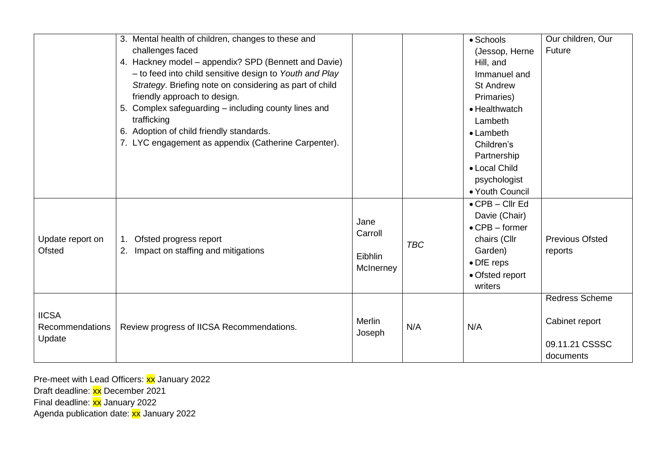|                                 | 3. Mental health of children, changes to these and                                               |                  |            | • Schools                   | Our children, Our                 |
|---------------------------------|--------------------------------------------------------------------------------------------------|------------------|------------|-----------------------------|-----------------------------------|
|                                 | challenges faced<br>4. Hackney model - appendix? SPD (Bennett and Davie)                         |                  |            | (Jessop, Herne<br>Hill, and | Future                            |
|                                 | - to feed into child sensitive design to Youth and Play                                          |                  |            | Immanuel and                |                                   |
|                                 | Strategy. Briefing note on considering as part of child                                          |                  |            | <b>St Andrew</b>            |                                   |
|                                 | friendly approach to design.                                                                     |                  |            | Primaries)                  |                                   |
|                                 | 5. Complex safeguarding - including county lines and                                             |                  |            | • Healthwatch               |                                   |
|                                 | trafficking                                                                                      |                  |            | Lambeth                     |                                   |
|                                 | 6. Adoption of child friendly standards.<br>7. LYC engagement as appendix (Catherine Carpenter). |                  |            | • Lambeth                   |                                   |
|                                 |                                                                                                  |                  |            | Children's<br>Partnership   |                                   |
|                                 |                                                                                                  |                  |            | • Local Child               |                                   |
|                                 |                                                                                                  |                  |            | psychologist                |                                   |
|                                 |                                                                                                  |                  |            | • Youth Council             |                                   |
|                                 |                                                                                                  |                  |            | $\bullet$ CPB - Cllr Ed     |                                   |
|                                 |                                                                                                  | Jane             |            | Davie (Chair)               |                                   |
|                                 | Ofsted progress report<br>$1_{-}$<br>Impact on staffing and mitigations<br>2.                    | Carroll          |            | $\bullet$ CPB – former      |                                   |
| Update report on<br>Ofsted      |                                                                                                  |                  | <b>TBC</b> | chairs (Cllr<br>Garden)     | <b>Previous Ofsted</b><br>reports |
|                                 |                                                                                                  | Eibhlin          |            | • DfE reps                  |                                   |
|                                 |                                                                                                  | McInerney        |            | • Ofsted report             |                                   |
|                                 |                                                                                                  |                  |            | writers                     |                                   |
|                                 |                                                                                                  |                  |            |                             | <b>Redress Scheme</b>             |
| <b>IICSA</b><br>Recommendations | Review progress of IICSA Recommendations.                                                        | Merlin<br>Joseph | N/A        | N/A                         | Cabinet report                    |
| Update                          |                                                                                                  |                  |            |                             | 09.11.21 CSSSC                    |
|                                 |                                                                                                  |                  |            |                             | documents                         |

Pre-meet with Lead Officers: **xx** January 2022

Draft deadline: xx December 2021

Final deadline: xx January 2022

Agenda publication date: xx January 2022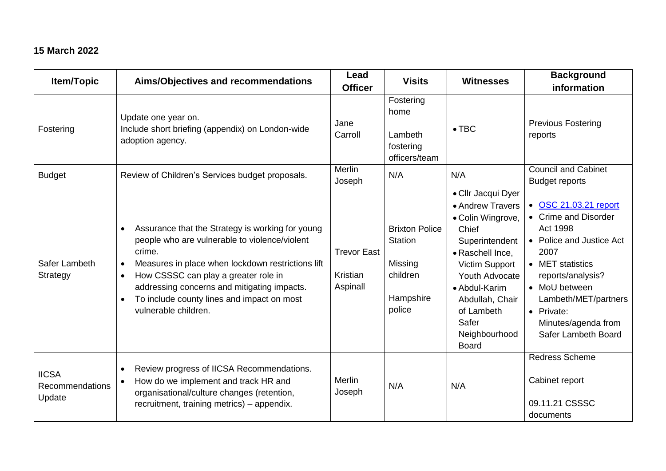## **15 March 2022**

| Item/Topic                                | Aims/Objectives and recommendations                                                                                                                                                                                                                                                                                                        | Lead<br><b>Officer</b>                     | <b>Visits</b>                                                                         | <b>Witnesses</b>                                                                                                                                                                                                                           | <b>Background</b><br>information                                                                                                                                                                                                            |
|-------------------------------------------|--------------------------------------------------------------------------------------------------------------------------------------------------------------------------------------------------------------------------------------------------------------------------------------------------------------------------------------------|--------------------------------------------|---------------------------------------------------------------------------------------|--------------------------------------------------------------------------------------------------------------------------------------------------------------------------------------------------------------------------------------------|---------------------------------------------------------------------------------------------------------------------------------------------------------------------------------------------------------------------------------------------|
| Fostering                                 | Update one year on.<br>Include short briefing (appendix) on London-wide<br>adoption agency.                                                                                                                                                                                                                                                | Jane<br>Carroll                            | Fostering<br>home<br>Lambeth<br>fostering<br>officers/team                            | $\bullet$ TBC                                                                                                                                                                                                                              | <b>Previous Fostering</b><br>reports                                                                                                                                                                                                        |
| <b>Budget</b>                             | Review of Children's Services budget proposals.                                                                                                                                                                                                                                                                                            | <b>Merlin</b><br>Joseph                    | N/A                                                                                   | N/A                                                                                                                                                                                                                                        | <b>Council and Cabinet</b><br><b>Budget reports</b>                                                                                                                                                                                         |
| Safer Lambeth<br>Strategy                 | Assurance that the Strategy is working for young<br>people who are vulnerable to violence/violent<br>crime.<br>Measures in place when lockdown restrictions lift<br>$\bullet$<br>How CSSSC can play a greater role in<br>addressing concerns and mitigating impacts.<br>To include county lines and impact on most<br>vulnerable children. | <b>Trevor East</b><br>Kristian<br>Aspinall | <b>Brixton Police</b><br><b>Station</b><br>Missing<br>children<br>Hampshire<br>police | • Cllr Jacqui Dyer<br>• Andrew Travers<br>• Colin Wingrove,<br>Chief<br>Superintendent<br>• Raschell Ince,<br>Victim Support<br>Youth Advocate<br>• Abdul-Karim<br>Abdullah, Chair<br>of Lambeth<br>Safer<br>Neighbourhood<br><b>Board</b> | • OSC 21.03.21 report<br>• Crime and Disorder<br>Act 1998<br>• Police and Justice Act<br>2007<br>• MET statistics<br>reports/analysis?<br>• MoU between<br>Lambeth/MET/partners<br>• Private:<br>Minutes/agenda from<br>Safer Lambeth Board |
| <b>IICSA</b><br>Recommendations<br>Update | Review progress of IICSA Recommendations.<br>How do we implement and track HR and<br>organisational/culture changes (retention,<br>recruitment, training metrics) - appendix.                                                                                                                                                              | <b>Merlin</b><br>Joseph                    | N/A                                                                                   | N/A                                                                                                                                                                                                                                        | <b>Redress Scheme</b><br>Cabinet report<br>09.11.21 CSSSC<br>documents                                                                                                                                                                      |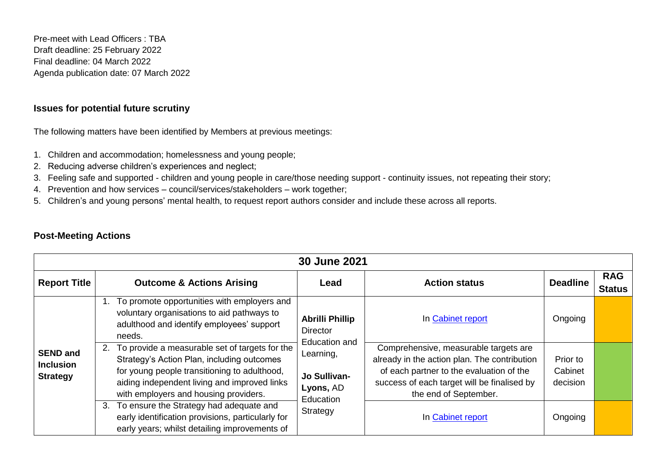Pre-meet with Lead Officers : TBA Draft deadline: 25 February 2022 Final deadline: 04 March 2022 Agenda publication date: 07 March 2022

### **Issues for potential future scrutiny**

The following matters have been identified by Members at previous meetings:

- 1. Children and accommodation; homelessness and young people;
- 2. Reducing adverse children's experiences and neglect;
- 3. Feeling safe and supported children and young people in care/those needing support continuity issues, not repeating their story;
- 4. Prevention and how services council/services/stakeholders work together;
- 5. Children's and young persons' mental health, to request report authors consider and include these across all reports.

|                                                        | <b>30 June 2021</b>                                                                                                                                                                                                                      |                                                                                                                        |                                                                                                                                                                                                           |                                 |                             |  |  |
|--------------------------------------------------------|------------------------------------------------------------------------------------------------------------------------------------------------------------------------------------------------------------------------------------------|------------------------------------------------------------------------------------------------------------------------|-----------------------------------------------------------------------------------------------------------------------------------------------------------------------------------------------------------|---------------------------------|-----------------------------|--|--|
| <b>Report Title</b>                                    | <b>Outcome &amp; Actions Arising</b>                                                                                                                                                                                                     | Lead                                                                                                                   | <b>Action status</b>                                                                                                                                                                                      | <b>Deadline</b>                 | <b>RAG</b><br><b>Status</b> |  |  |
|                                                        | To promote opportunities with employers and<br>voluntary organisations to aid pathways to<br>adulthood and identify employees' support<br>needs.                                                                                         | <b>Abrilli Phillip</b><br>Director<br>Education and<br>Learning,<br>Jo Sullivan-<br>Lyons, AD<br>Education<br>Strategy | In Cabinet report                                                                                                                                                                                         | Ongoing                         |                             |  |  |
| <b>SEND and</b><br><b>Inclusion</b><br><b>Strategy</b> | 2. To provide a measurable set of targets for the<br>Strategy's Action Plan, including outcomes<br>for young people transitioning to adulthood,<br>aiding independent living and improved links<br>with employers and housing providers. |                                                                                                                        | Comprehensive, measurable targets are<br>already in the action plan. The contribution<br>of each partner to the evaluation of the<br>success of each target will be finalised by<br>the end of September. | Prior to<br>Cabinet<br>decision |                             |  |  |
|                                                        | 3. To ensure the Strategy had adequate and<br>early identification provisions, particularly for<br>early years; whilst detailing improvements of                                                                                         |                                                                                                                        | In Cabinet report                                                                                                                                                                                         | Ongoing                         |                             |  |  |

## **Post-Meeting Actions**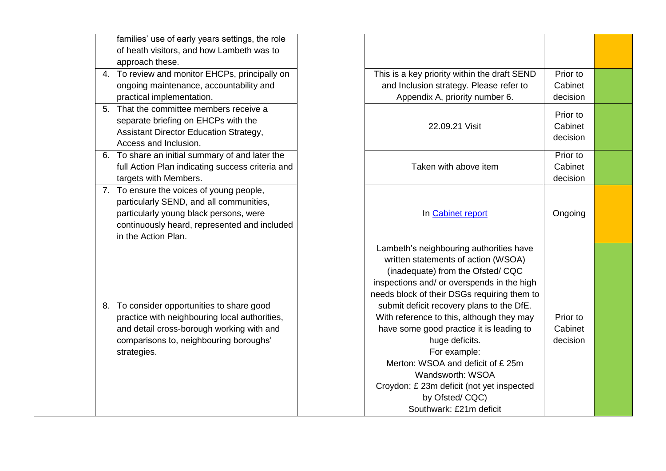| families' use of early years settings, the role<br>of heath visitors, and how Lambeth was to<br>approach these.<br>To review and monitor EHCPs, principally on<br>4.<br>ongoing maintenance, accountability and<br>practical implementation.<br>That the committee members receive a<br>5. |
|--------------------------------------------------------------------------------------------------------------------------------------------------------------------------------------------------------------------------------------------------------------------------------------------|
|                                                                                                                                                                                                                                                                                            |
|                                                                                                                                                                                                                                                                                            |
|                                                                                                                                                                                                                                                                                            |
|                                                                                                                                                                                                                                                                                            |
|                                                                                                                                                                                                                                                                                            |
|                                                                                                                                                                                                                                                                                            |
|                                                                                                                                                                                                                                                                                            |
| separate briefing on EHCPs with the                                                                                                                                                                                                                                                        |
| Assistant Director Education Strategy,                                                                                                                                                                                                                                                     |
| Access and Inclusion.                                                                                                                                                                                                                                                                      |
| To share an initial summary of and later the<br>6.                                                                                                                                                                                                                                         |
| full Action Plan indicating success criteria and                                                                                                                                                                                                                                           |
| targets with Members.                                                                                                                                                                                                                                                                      |
| To ensure the voices of young people,<br>7.                                                                                                                                                                                                                                                |
| particularly SEND, and all communities,                                                                                                                                                                                                                                                    |
| particularly young black persons, were                                                                                                                                                                                                                                                     |
| continuously heard, represented and included                                                                                                                                                                                                                                               |
| in the Action Plan.                                                                                                                                                                                                                                                                        |
| To consider opportunities to share good<br>8.<br>practice with neighbouring local authorities,<br>and detail cross-borough working with and<br>comparisons to, neighbouring boroughs'<br>strategies.                                                                                       |

| This is a key priority within the draft SEND<br>and Inclusion strategy. Please refer to<br>Appendix A, priority number 6.                                                                                                                                                                                                                                                                                                                                                                                                                  | Prior to<br>Cabinet<br>decision |  |
|--------------------------------------------------------------------------------------------------------------------------------------------------------------------------------------------------------------------------------------------------------------------------------------------------------------------------------------------------------------------------------------------------------------------------------------------------------------------------------------------------------------------------------------------|---------------------------------|--|
| 22.09.21 Visit                                                                                                                                                                                                                                                                                                                                                                                                                                                                                                                             | Prior to<br>Cabinet<br>decision |  |
| Taken with above item                                                                                                                                                                                                                                                                                                                                                                                                                                                                                                                      | Prior to<br>Cabinet<br>decision |  |
| In Cabinet report                                                                                                                                                                                                                                                                                                                                                                                                                                                                                                                          | Ongoing                         |  |
| Lambeth's neighbouring authorities have<br>written statements of action (WSOA)<br>(inadequate) from the Ofsted/ CQC<br>inspections and/ or overspends in the high<br>needs block of their DSGs requiring them to<br>submit deficit recovery plans to the DfE.<br>With reference to this, although they may<br>have some good practice it is leading to<br>huge deficits.<br>For example:<br>Merton: WSOA and deficit of £25m<br>Wandsworth: WSOA<br>Croydon: £ 23m deficit (not yet inspected<br>by Ofsted/CQC)<br>Southwark: £21m deficit | Prior to<br>Cabinet<br>decision |  |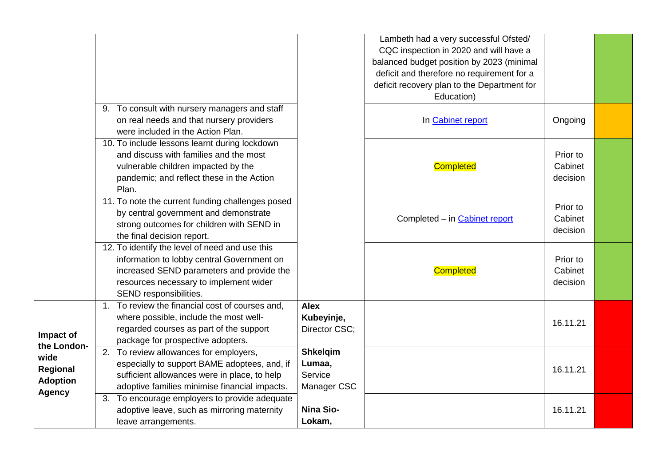|                                     |                                                                                                                                                                                                               |                                                     | Lambeth had a very successful Ofsted/<br>CQC inspection in 2020 and will have a<br>balanced budget position by 2023 (minimal<br>deficit and therefore no requirement for a<br>deficit recovery plan to the Department for<br>Education) |                                 |  |
|-------------------------------------|---------------------------------------------------------------------------------------------------------------------------------------------------------------------------------------------------------------|-----------------------------------------------------|-----------------------------------------------------------------------------------------------------------------------------------------------------------------------------------------------------------------------------------------|---------------------------------|--|
|                                     | 9. To consult with nursery managers and staff<br>on real needs and that nursery providers<br>were included in the Action Plan.                                                                                |                                                     | In Cabinet report                                                                                                                                                                                                                       | Ongoing                         |  |
|                                     | 10. To include lessons learnt during lockdown<br>and discuss with families and the most<br>vulnerable children impacted by the<br>pandemic; and reflect these in the Action<br>Plan.                          |                                                     | <b>Completed</b>                                                                                                                                                                                                                        | Prior to<br>Cabinet<br>decision |  |
|                                     | 11. To note the current funding challenges posed<br>by central government and demonstrate<br>strong outcomes for children with SEND in<br>the final decision report.                                          |                                                     | Completed - in Cabinet report                                                                                                                                                                                                           | Prior to<br>Cabinet<br>decision |  |
|                                     | 12. To identify the level of need and use this<br>information to lobby central Government on<br>increased SEND parameters and provide the<br>resources necessary to implement wider<br>SEND responsibilities. |                                                     | <b>Completed</b>                                                                                                                                                                                                                        | Prior to<br>Cabinet<br>decision |  |
| Impact of<br>the London-            | 1. To review the financial cost of courses and,<br>where possible, include the most well-<br>regarded courses as part of the support<br>package for prospective adopters.                                     | <b>Alex</b><br>Kubeyinje,<br>Director CSC;          |                                                                                                                                                                                                                                         | 16.11.21                        |  |
| wide<br>Regional<br><b>Adoption</b> | 2. To review allowances for employers,<br>especially to support BAME adoptees, and, if<br>sufficient allowances were in place, to help<br>adoptive families minimise financial impacts.                       | <b>Shkelqim</b><br>Lumaa,<br>Service<br>Manager CSC |                                                                                                                                                                                                                                         | 16.11.21                        |  |
| <b>Agency</b>                       | 3. To encourage employers to provide adequate<br>adoptive leave, such as mirroring maternity<br>leave arrangements.                                                                                           | <b>Nina Sio-</b><br>Lokam,                          |                                                                                                                                                                                                                                         | 16.11.21                        |  |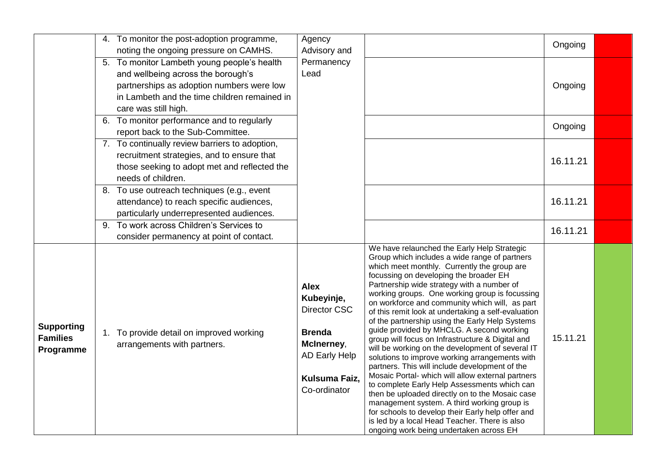|                                                   | 4. To monitor the post-adoption programme,<br>noting the ongoing pressure on CAMHS.  | Agency<br>Advisory and                                                                                                            |                                                                                                                                                                                                                                                                                                                                                                                                                                                                                                                                                                                                                                                                                                                                                                                                                                                                                                                                                                                                                                                                    | Ongoing  |  |
|---------------------------------------------------|--------------------------------------------------------------------------------------|-----------------------------------------------------------------------------------------------------------------------------------|--------------------------------------------------------------------------------------------------------------------------------------------------------------------------------------------------------------------------------------------------------------------------------------------------------------------------------------------------------------------------------------------------------------------------------------------------------------------------------------------------------------------------------------------------------------------------------------------------------------------------------------------------------------------------------------------------------------------------------------------------------------------------------------------------------------------------------------------------------------------------------------------------------------------------------------------------------------------------------------------------------------------------------------------------------------------|----------|--|
|                                                   | 5. To monitor Lambeth young people's health                                          | Permanency                                                                                                                        |                                                                                                                                                                                                                                                                                                                                                                                                                                                                                                                                                                                                                                                                                                                                                                                                                                                                                                                                                                                                                                                                    |          |  |
|                                                   | and wellbeing across the borough's                                                   | Lead                                                                                                                              |                                                                                                                                                                                                                                                                                                                                                                                                                                                                                                                                                                                                                                                                                                                                                                                                                                                                                                                                                                                                                                                                    |          |  |
|                                                   | partnerships as adoption numbers were low                                            |                                                                                                                                   |                                                                                                                                                                                                                                                                                                                                                                                                                                                                                                                                                                                                                                                                                                                                                                                                                                                                                                                                                                                                                                                                    | Ongoing  |  |
|                                                   | in Lambeth and the time children remained in                                         |                                                                                                                                   |                                                                                                                                                                                                                                                                                                                                                                                                                                                                                                                                                                                                                                                                                                                                                                                                                                                                                                                                                                                                                                                                    |          |  |
|                                                   | care was still high.                                                                 |                                                                                                                                   |                                                                                                                                                                                                                                                                                                                                                                                                                                                                                                                                                                                                                                                                                                                                                                                                                                                                                                                                                                                                                                                                    |          |  |
|                                                   | 6. To monitor performance and to regularly                                           |                                                                                                                                   |                                                                                                                                                                                                                                                                                                                                                                                                                                                                                                                                                                                                                                                                                                                                                                                                                                                                                                                                                                                                                                                                    | Ongoing  |  |
|                                                   | report back to the Sub-Committee.                                                    |                                                                                                                                   |                                                                                                                                                                                                                                                                                                                                                                                                                                                                                                                                                                                                                                                                                                                                                                                                                                                                                                                                                                                                                                                                    |          |  |
|                                                   | 7. To continually review barriers to adoption,                                       |                                                                                                                                   |                                                                                                                                                                                                                                                                                                                                                                                                                                                                                                                                                                                                                                                                                                                                                                                                                                                                                                                                                                                                                                                                    |          |  |
|                                                   | recruitment strategies, and to ensure that                                           |                                                                                                                                   |                                                                                                                                                                                                                                                                                                                                                                                                                                                                                                                                                                                                                                                                                                                                                                                                                                                                                                                                                                                                                                                                    | 16.11.21 |  |
|                                                   | those seeking to adopt met and reflected the                                         |                                                                                                                                   |                                                                                                                                                                                                                                                                                                                                                                                                                                                                                                                                                                                                                                                                                                                                                                                                                                                                                                                                                                                                                                                                    |          |  |
|                                                   | needs of children.                                                                   |                                                                                                                                   |                                                                                                                                                                                                                                                                                                                                                                                                                                                                                                                                                                                                                                                                                                                                                                                                                                                                                                                                                                                                                                                                    |          |  |
|                                                   | 8. To use outreach techniques (e.g., event                                           |                                                                                                                                   |                                                                                                                                                                                                                                                                                                                                                                                                                                                                                                                                                                                                                                                                                                                                                                                                                                                                                                                                                                                                                                                                    | 16.11.21 |  |
|                                                   | attendance) to reach specific audiences,<br>particularly underrepresented audiences. |                                                                                                                                   |                                                                                                                                                                                                                                                                                                                                                                                                                                                                                                                                                                                                                                                                                                                                                                                                                                                                                                                                                                                                                                                                    |          |  |
|                                                   | 9. To work across Children's Services to                                             |                                                                                                                                   |                                                                                                                                                                                                                                                                                                                                                                                                                                                                                                                                                                                                                                                                                                                                                                                                                                                                                                                                                                                                                                                                    |          |  |
|                                                   | consider permanency at point of contact.                                             |                                                                                                                                   |                                                                                                                                                                                                                                                                                                                                                                                                                                                                                                                                                                                                                                                                                                                                                                                                                                                                                                                                                                                                                                                                    | 16.11.21 |  |
| <b>Supporting</b><br><b>Families</b><br>Programme | 1. To provide detail on improved working<br>arrangements with partners.              | <b>Alex</b><br>Kubeyinje,<br><b>Director CSC</b><br><b>Brenda</b><br>McInerney,<br>AD Early Help<br>Kulsuma Faiz,<br>Co-ordinator | We have relaunched the Early Help Strategic<br>Group which includes a wide range of partners<br>which meet monthly. Currently the group are<br>focussing on developing the broader EH<br>Partnership wide strategy with a number of<br>working groups. One working group is focussing<br>on workforce and community which will, as part<br>of this remit look at undertaking a self-evaluation<br>of the partnership using the Early Help Systems<br>guide provided by MHCLG. A second working<br>group will focus on Infrastructure & Digital and<br>will be working on the development of several IT<br>solutions to improve working arrangements with<br>partners. This will include development of the<br>Mosaic Portal- which will allow external partners<br>to complete Early Help Assessments which can<br>then be uploaded directly on to the Mosaic case<br>management system. A third working group is<br>for schools to develop their Early help offer and<br>is led by a local Head Teacher. There is also<br>ongoing work being undertaken across EH | 15.11.21 |  |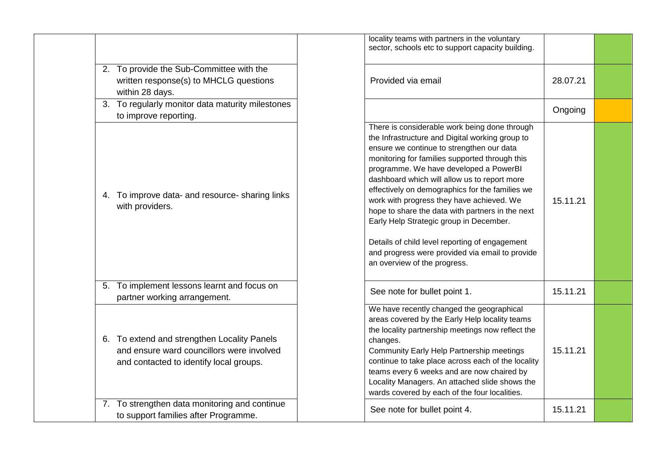|                                                                                                                                     | locality teams with partners in the voluntary<br>sector, schools etc to support capacity building.                                                                                                                                                                                                                                                                                                                                                                                                                                                                                                                            |          |  |
|-------------------------------------------------------------------------------------------------------------------------------------|-------------------------------------------------------------------------------------------------------------------------------------------------------------------------------------------------------------------------------------------------------------------------------------------------------------------------------------------------------------------------------------------------------------------------------------------------------------------------------------------------------------------------------------------------------------------------------------------------------------------------------|----------|--|
| 2. To provide the Sub-Committee with the<br>written response(s) to MHCLG questions<br>within 28 days.                               | Provided via email                                                                                                                                                                                                                                                                                                                                                                                                                                                                                                                                                                                                            | 28.07.21 |  |
| 3. To regularly monitor data maturity milestones<br>to improve reporting.                                                           |                                                                                                                                                                                                                                                                                                                                                                                                                                                                                                                                                                                                                               | Ongoing  |  |
| To improve data- and resource- sharing links<br>4.<br>with providers.                                                               | There is considerable work being done through<br>the Infrastructure and Digital working group to<br>ensure we continue to strengthen our data<br>monitoring for families supported through this<br>programme. We have developed a PowerBI<br>dashboard which will allow us to report more<br>effectively on demographics for the families we<br>work with progress they have achieved. We<br>hope to share the data with partners in the next<br>Early Help Strategic group in December.<br>Details of child level reporting of engagement<br>and progress were provided via email to provide<br>an overview of the progress. | 15.11.21 |  |
| To implement lessons learnt and focus on<br>5.<br>partner working arrangement.                                                      | See note for bullet point 1.                                                                                                                                                                                                                                                                                                                                                                                                                                                                                                                                                                                                  | 15.11.21 |  |
| 6. To extend and strengthen Locality Panels<br>and ensure ward councillors were involved<br>and contacted to identify local groups. | We have recently changed the geographical<br>areas covered by the Early Help locality teams<br>the locality partnership meetings now reflect the<br>changes.<br>Community Early Help Partnership meetings<br>continue to take place across each of the locality<br>teams every 6 weeks and are now chaired by<br>Locality Managers. An attached slide shows the<br>wards covered by each of the four localities.                                                                                                                                                                                                              | 15.11.21 |  |
| 7. To strengthen data monitoring and continue<br>to support families after Programme.                                               | See note for bullet point 4.                                                                                                                                                                                                                                                                                                                                                                                                                                                                                                                                                                                                  | 15.11.21 |  |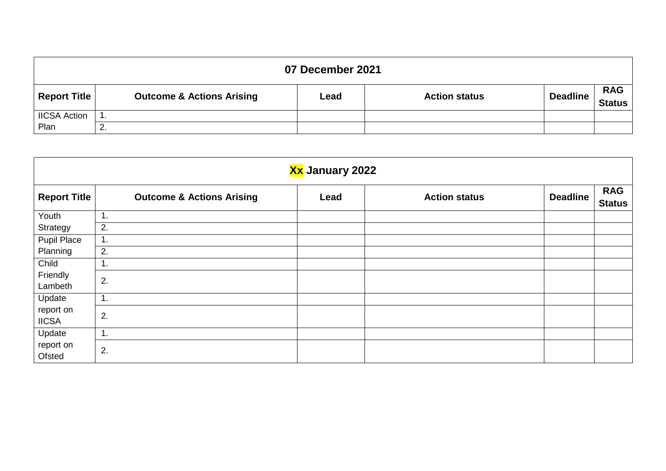| 07 December 2021    |                                      |      |                      |          |                      |  |  |  |  |
|---------------------|--------------------------------------|------|----------------------|----------|----------------------|--|--|--|--|
| Report Title        | <b>Outcome &amp; Actions Arising</b> | Lead | <b>Action status</b> | Deadline | <b>RAG</b><br>Status |  |  |  |  |
| <b>IICSA Action</b> |                                      |      |                      |          |                      |  |  |  |  |
| Plan                | ۷.                                   |      |                      |          |                      |  |  |  |  |

| Xx January 2022           |                                      |      |                      |                 |                             |  |  |  |  |
|---------------------------|--------------------------------------|------|----------------------|-----------------|-----------------------------|--|--|--|--|
| <b>Report Title</b>       | <b>Outcome &amp; Actions Arising</b> | Lead | <b>Action status</b> | <b>Deadline</b> | <b>RAG</b><br><b>Status</b> |  |  |  |  |
| Youth                     | 1.                                   |      |                      |                 |                             |  |  |  |  |
| Strategy                  | 2.                                   |      |                      |                 |                             |  |  |  |  |
| <b>Pupil Place</b>        | 1.                                   |      |                      |                 |                             |  |  |  |  |
| Planning                  | 2.                                   |      |                      |                 |                             |  |  |  |  |
| Child                     | 1.                                   |      |                      |                 |                             |  |  |  |  |
| Friendly<br>Lambeth       | 2.                                   |      |                      |                 |                             |  |  |  |  |
| Update                    | 1.                                   |      |                      |                 |                             |  |  |  |  |
| report on<br><b>IICSA</b> | 2.                                   |      |                      |                 |                             |  |  |  |  |
| Update                    | 1.                                   |      |                      |                 |                             |  |  |  |  |
| report on<br>Ofsted       | 2.                                   |      |                      |                 |                             |  |  |  |  |